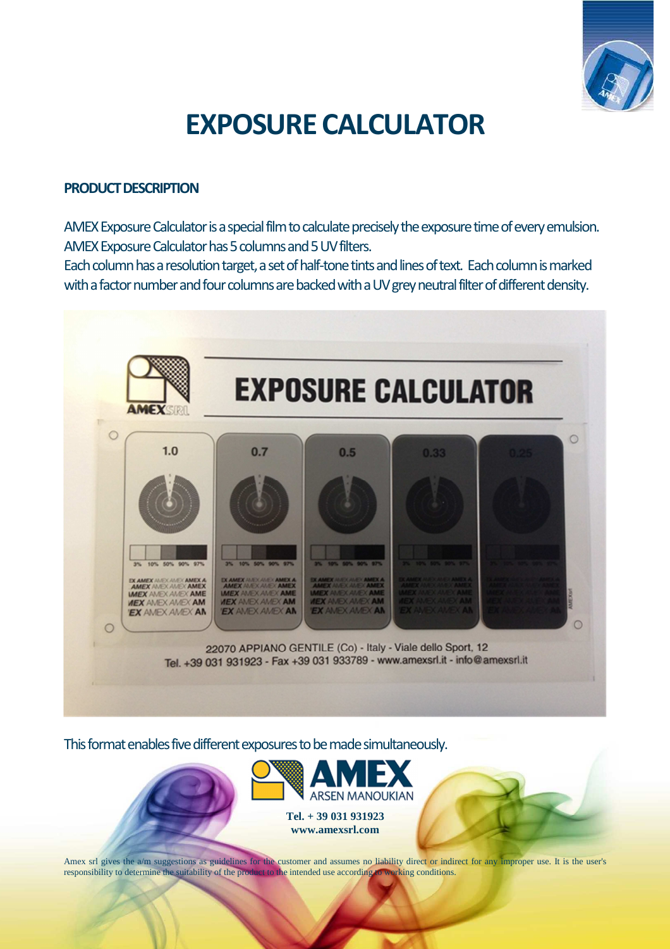

# **EXPOSURE CALCULATOR**

### **PRODUCT DESCRIPTION**

AMEX Exposure Calculator is a special film to calculate precisely the exposure time of every emulsion. AMEX Exposure Calculator has 5 columns and 5 UV filters.

Each column has a resolution target, a set of half-tone tints and lines of text. Each column is marked with a factor number and four columns are backed with a UV grey neutral filter of different density.



This format enables five different exposures to be made simultaneously.



Amex srl gives the a/m suggestions as guidelines for the customer and assumes no liability direct or indirect for any improper use. It is the user's responsibility to determine the suitability of the product to the intended use according to working conditions.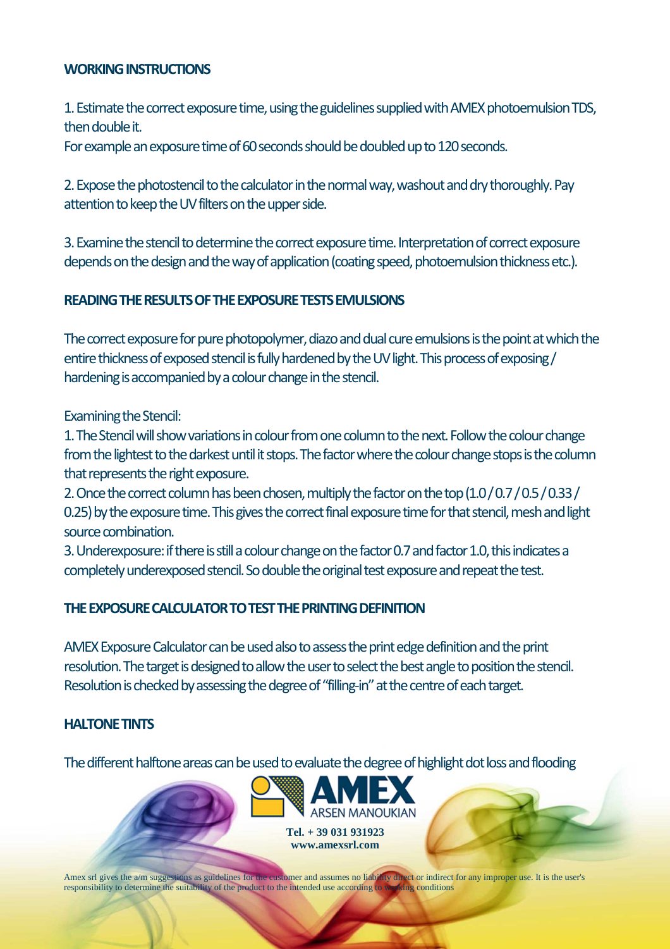## **WORKING INSTRUCTIONS**

1. Estimate the correct exposure time, using the guidelines supplied with AMEX photoemulsion TDS, then double it.

For example an exposure time of 60 seconds should be doubled up to 120 seconds.

2. Expose the photostencil to the calculator in the normal way, washout and dry thoroughly. Pay attention to keep the UV filters on the upper side.

3. Examine the stencil to determine the correct exposure time. Interpretation of correct exposure depends on the design and the way of application (coating speed, photoemulsion thickness etc.).

# **READING THE RESULTS OF THE EXPOSURE TESTS EMULSIONS**

The correct exposure for pure photopolymer, diazo and dual cure emulsions is the point at which the entire thickness of exposed stencil is fully hardened by the UV light. This process of exposing / hardening is accompanied by a colour change in the stencil.

Examining the Stencil:

1. The Stencil will show variations in colour from one column to the next. Follow the colour change from the lightest to the darkest until it stops. The factor where the colour change stops is the column that represents the right exposure.

2. Once the correct column has been chosen, multiply the factor on the top (1.0 / 0.7 / 0.5 / 0.33 / 0.25) by the exposure time. This gives the correct final exposure time for that stencil, mesh and light source combination.

3. Underexposure: if there is still a colour change on the factor 0.7 and factor 1.0, this indicates a completely underexposed stencil. So double the original test exposure and repeat the test.

#### **THE EXPOSURE CALCULATOR TO TEST THE PRINTING DEFINITION**

AMEX Exposure Calculator can be used also to assess the print edge definition and the print resolution. The target is designed to allow the user to select the best angle to position the stencil. Resolution is checked by assessing the degree of "filling-in" at the centre of each target.

#### **HALTONE TINTS**

The different halftone areas can be used to evaluate the degree of highlight dot loss and flooding



Amex srl gives the a/m suggestions as guidelines for the customer and assumes no liability direct or indirect for any improper use. It is the user's responsibility to determine the suitability of the product to the intended use according to working conditions